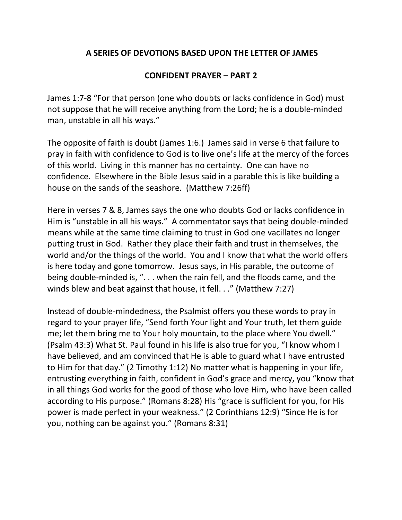## **A SERIES OF DEVOTIONS BASED UPON THE LETTER OF JAMES**

## **CONFIDENT PRAYER – PART 2**

James 1:7-8 "For that person (one who doubts or lacks confidence in God) must not suppose that he will receive anything from the Lord; he is a double-minded man, unstable in all his ways."

The opposite of faith is doubt (James 1:6.) James said in verse 6 that failure to pray in faith with confidence to God is to live one's life at the mercy of the forces of this world. Living in this manner has no certainty. One can have no confidence. Elsewhere in the Bible Jesus said in a parable this is like building a house on the sands of the seashore. (Matthew 7:26ff)

Here in verses 7 & 8, James says the one who doubts God or lacks confidence in Him is "unstable in all his ways." A commentator says that being double-minded means while at the same time claiming to trust in God one vacillates no longer putting trust in God. Rather they place their faith and trust in themselves, the world and/or the things of the world. You and I know that what the world offers is here today and gone tomorrow. Jesus says, in His parable, the outcome of being double-minded is, ". . . when the rain fell, and the floods came, and the winds blew and beat against that house, it fell. . ." (Matthew 7:27)

Instead of double-mindedness, the Psalmist offers you these words to pray in regard to your prayer life, "Send forth Your light and Your truth, let them guide me; let them bring me to Your holy mountain, to the place where You dwell." (Psalm 43:3) What St. Paul found in his life is also true for you, "I know whom I have believed, and am convinced that He is able to guard what I have entrusted to Him for that day." (2 Timothy 1:12) No matter what is happening in your life, entrusting everything in faith, confident in God's grace and mercy, you "know that in all things God works for the good of those who love Him, who have been called according to His purpose." (Romans 8:28) His "grace is sufficient for you, for His power is made perfect in your weakness." (2 Corinthians 12:9) "Since He is for you, nothing can be against you." (Romans 8:31)